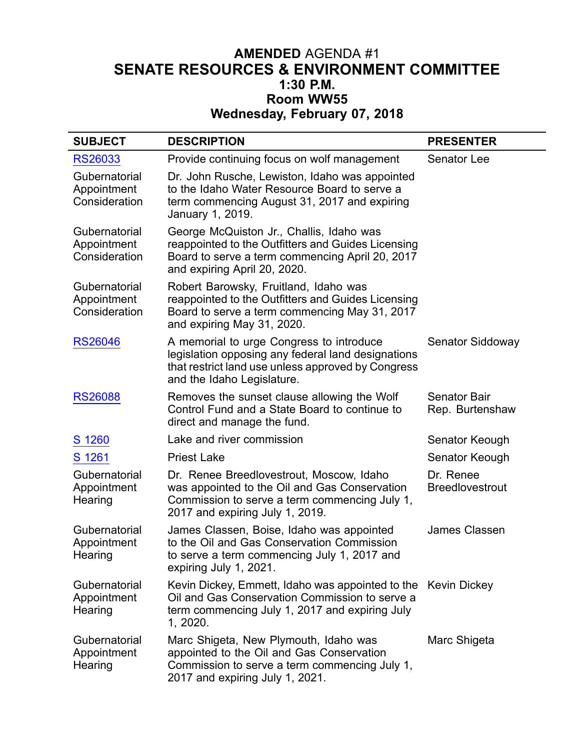## **AMENDED** AGENDA #1 **SENATE RESOURCES & ENVIRONMENT COMMITTEE 1:30 P.M. Room WW55 Wednesday, February 07, 2018**

| <b>SUBJECT</b>                                | <b>DESCRIPTION</b>                                                                                                                                                                 | <b>PRESENTER</b>                       |
|-----------------------------------------------|------------------------------------------------------------------------------------------------------------------------------------------------------------------------------------|----------------------------------------|
| <b>RS26033</b>                                | Provide continuing focus on wolf management                                                                                                                                        | Senator Lee                            |
| Gubernatorial<br>Appointment<br>Consideration | Dr. John Rusche, Lewiston, Idaho was appointed<br>to the Idaho Water Resource Board to serve a<br>term commencing August 31, 2017 and expiring<br>January 1, 2019.                 |                                        |
| Gubernatorial<br>Appointment<br>Consideration | George McQuiston Jr., Challis, Idaho was<br>reappointed to the Outfitters and Guides Licensing<br>Board to serve a term commencing April 20, 2017<br>and expiring April 20, 2020.  |                                        |
| Gubernatorial<br>Appointment<br>Consideration | Robert Barowsky, Fruitland, Idaho was<br>reappointed to the Outfitters and Guides Licensing<br>Board to serve a term commencing May 31, 2017<br>and expiring May 31, 2020.         |                                        |
| <b>RS26046</b>                                | A memorial to urge Congress to introduce<br>legislation opposing any federal land designations<br>that restrict land use unless approved by Congress<br>and the Idaho Legislature. | Senator Siddoway                       |
| <b>RS26088</b>                                | Removes the sunset clause allowing the Wolf<br>Control Fund and a State Board to continue to<br>direct and manage the fund.                                                        | <b>Senator Bair</b><br>Rep. Burtenshaw |
| S 1260                                        | Lake and river commission                                                                                                                                                          | Senator Keough                         |
| S 1261                                        | <b>Priest Lake</b>                                                                                                                                                                 | Senator Keough                         |
| Gubernatorial<br>Appointment<br>Hearing       | Dr. Renee Breedlovestrout, Moscow, Idaho<br>was appointed to the Oil and Gas Conservation<br>Commission to serve a term commencing July 1,<br>2017 and expiring July 1, 2019.      | Dr. Renee<br><b>Breedlovestrout</b>    |
| Gubernatorial<br>Appointment<br>Hearing       | James Classen, Boise, Idaho was appointed<br>to the Oil and Gas Conservation Commission<br>to serve a term commencing July 1, 2017 and<br>expiring July 1, 2021.                   | James Classen                          |
| Gubernatorial<br>Appointment<br>Hearing       | Kevin Dickey, Emmett, Idaho was appointed to the<br>Oil and Gas Conservation Commission to serve a<br>term commencing July 1, 2017 and expiring July<br>1, 2020.                   | <b>Kevin Dickey</b>                    |
| Gubernatorial<br>Appointment<br>Hearing       | Marc Shigeta, New Plymouth, Idaho was<br>appointed to the Oil and Gas Conservation<br>Commission to serve a term commencing July 1,<br>2017 and expiring July 1, 2021.             | Marc Shigeta                           |